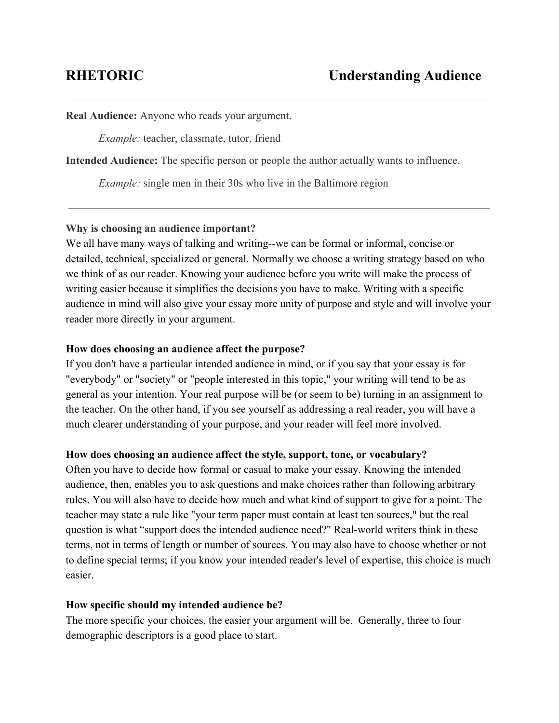**Real Audience:** Anyone who reads your argument.

*Example:* teacher, classmate, tutor, friend

**Intended Audience:** The specific person or people the author actually wants to influence.

*Example:* single men in their 30s who live in the Baltimore region

## **Why is choosing an audience important?**

We all have many ways of talking and writing--we can be formal or informal, concise or detailed, technical, specialized or general. Normally we choose a writing strategy based on who we think of as our reader. Knowing your audience before you write will make the process of writing easier because it simplifies the decisions you have to make. Writing with a specific audience in mind will also give your essay more unity of purpose and style and will involve your reader more directly in your argument.

## **How does choosing an audience affect the purpose?**

If you don't have a particular intended audience in mind, or if you say that your essay is for "everybody" or "society" or "people interested in this topic," your writing will tend to be as general as your intention. Your real purpose will be (or seem to be) turning in an assignment to the teacher. On the other hand, if you see yourself as addressing a real reader, you will have a much clearer understanding of your purpose, and your reader will feel more involved.

### **How does choosing an audience affect the style, support, tone, or vocabulary?**

Often you have to decide how formal or casual to make your essay. Knowing the intended audience, then, enables you to ask questions and make choices rather than following arbitrary rules. You will also have to decide how much and what kind of support to give for a point. The teacher may state a rule like "your term paper must contain at least ten sources," but the real question is what "support does the intended audience need?" Real-world writers think in these terms, not in terms of length or number of sources. You may also have to choose whether or not to define special terms; if you know your intended reader's level of expertise, this choice is much easier.

### **How specific should my intended audience be?**

The more specific your choices, the easier your argument will be. Generally, three to four demographic descriptors is a good place to start.